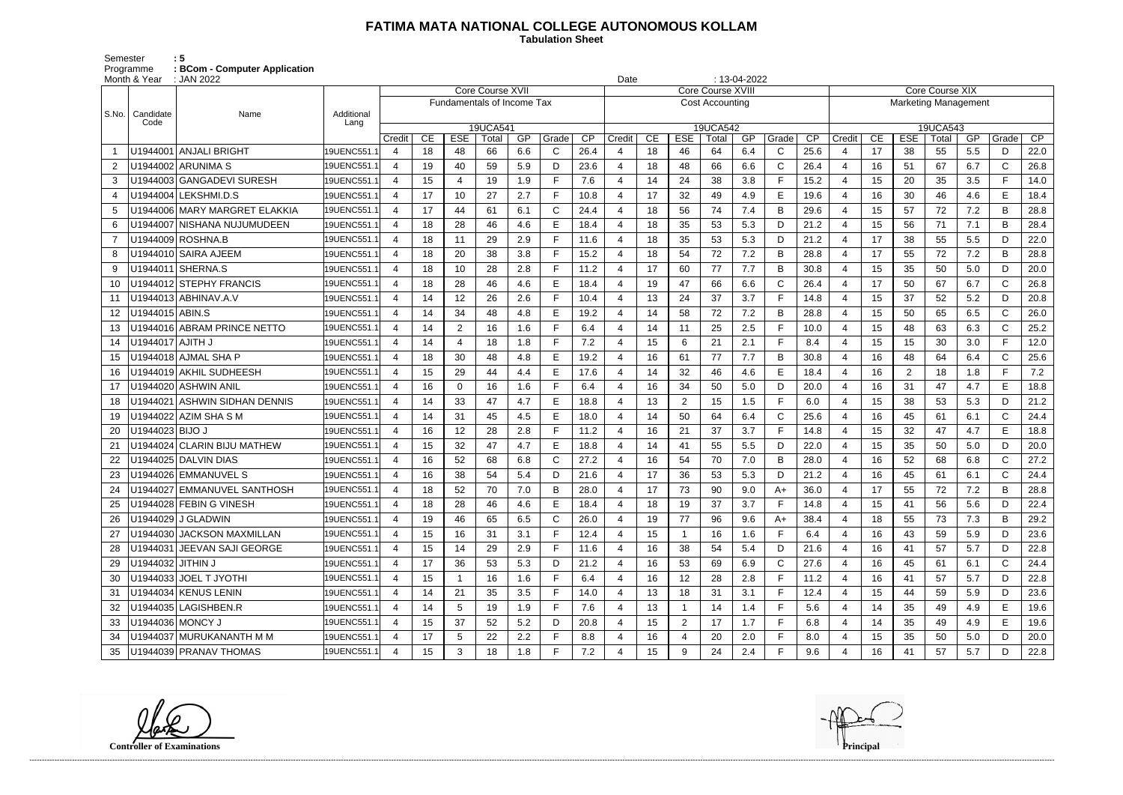## **FATIMA MATA NATIONAL COLLEGE AUTONOMOUS KOLLAM**

 **Tabulation Sheet** 

Semester<br>Programme<br>Month & Year Programme **: BCom - Computer Application**

|       | Month & Year       | $: 13-04-2022$<br>: JAN 2022<br>Date |             |                          |    |                            |                         |     |       |      |        |    |                |                         |     |              |                 |                             |    |                |       |     |              |      |
|-------|--------------------|--------------------------------------|-------------|--------------------------|----|----------------------------|-------------------------|-----|-------|------|--------|----|----------------|-------------------------|-----|--------------|-----------------|-----------------------------|----|----------------|-------|-----|--------------|------|
|       |                    |                                      |             |                          |    |                            | <b>Core Course XVII</b> |     |       |      |        |    |                | <b>Core Course XVII</b> |     |              |                 | <b>Core Course XIX</b>      |    |                |       |     |              |      |
| S.No. | Candidate          | Name                                 | Additional  |                          |    | Fundamentals of Income Tax |                         |     |       |      |        |    |                | <b>Cost Accounting</b>  |     |              |                 | <b>Marketing Management</b> |    |                |       |     |              |      |
|       | Code               |                                      | Lang        |                          |    |                            | 19UCA541                |     |       |      |        |    |                | 19UCA542                |     |              |                 | 19UCA543                    |    |                |       |     |              |      |
|       |                    |                                      |             | Credit                   | CE | <b>ESE</b>                 | Total                   | GP  | Grade | CP   | Credit | CE | <b>ESE</b>     | Total                   | GP  | Grade        | $\overline{CP}$ | Credit                      | CE | <b>ESE</b>     | Total | GP  | Grade        | CP   |
|       |                    | U1944001 ANJALI BRIGHT               | 19UENC551.1 | 4                        | 18 | 48                         | 66                      | 6.6 | C     | 26.4 |        | 18 | 46             | 64                      | 6.4 | C            | 25.6            | -4                          | 17 | 38             | 55    | 5.5 | D            | 22.0 |
| 2     |                    | U1944002 ARUNIMA S                   | 19UENC551.1 | 4                        | 19 | 40                         | 59                      | 5.9 | D     | 23.6 |        | 18 | 48             | 66                      | 6.6 | $\mathsf{C}$ | 26.4            | 4                           | 16 | 51             | 67    | 6.7 | $\mathsf{C}$ | 26.8 |
| 3     |                    | U1944003 GANGADEVI SURESH            | 19UENC551.  | 4                        | 15 | 4                          | 19                      | 1.9 | F.    | 7.6  |        | 14 | 24             | 38                      | 3.8 | E            | 15.2            | 4                           | 15 | 20             | 35    | 3.5 | F.           | 14.0 |
|       |                    | U1944004 LEKSHMI.D.S                 | 19UENC551.1 | $\overline{4}$           | 17 | 10                         | 27                      | 2.7 |       | 10.8 |        | 17 | 32             | 49                      | 4.9 | E            | 19.6            | $\overline{4}$              | 16 | 30             | 46    | 4.6 | E            | 18.4 |
| 5     |                    | U1944006 MARY MARGRET ELAKKIA        | 19UENC551.1 | $\boldsymbol{\Delta}$    | 17 | 44                         | 61                      | 6.1 | C     | 24.4 |        | 18 | 56             | 74                      | 7.4 | B            | 29.6            | -4                          | 15 | 57             | 72    | 7.2 | B            | 28.8 |
| 6     |                    | U1944007 NISHANA NUJUMUDEEN          | 19UENC551.1 |                          | 18 | 28                         | 46                      | 4.6 | E.    | 18.4 |        | 18 | 35             | 53                      | 5.3 | D            | 21.2            | -4                          | 15 | 56             | 71    | 7.1 | B            | 28.4 |
|       |                    | U1944009 ROSHNA.B                    | 19UENC551.1 | 4                        | 18 | 11                         | 29                      | 2.9 |       | 11.6 |        | 18 | 35             | 53                      | 5.3 | D            | 21.2            | 4                           | 17 | 38             | 55    | 5.5 | D            | 22.0 |
| 8     |                    | U1944010 SAIRA AJEEM                 | 19UENC551.  | 4                        | 18 | 20                         | 38                      | 3.8 |       | 15.2 |        | 18 | 54             | 72                      | 7.2 | B            | 28.8            | 4                           | 17 | 55             | 72    | 7.2 | B            | 28.8 |
| 9     |                    | U1944011 SHERNA.S                    | 19UENC551.1 | $\boldsymbol{\Delta}$    | 18 | 10                         | 28                      | 2.8 |       | 11.2 |        | 17 | 60             | 77                      | 7.7 | B            | 30.8            | $\overline{4}$              | 15 | 35             | 50    | 5.0 | D            | 20.0 |
| 10    |                    | U1944012 STEPHY FRANCIS              | 19UENC551.1 | $\overline{4}$           | 18 | 28                         | 46                      | 4.6 | E.    | 18.4 |        | 19 | 47             | 66                      | 6.6 | $\mathsf{C}$ | 26.4            | $\overline{4}$              | 17 | 50             | 67    | 6.7 | $\mathsf{C}$ | 26.8 |
| 11    |                    | U1944013 ABHINAV.A.V                 | 19UENC551.1 |                          | 14 | 12                         | 26                      | 2.6 |       | 10.4 |        | 13 | 24             | 37                      | 3.7 | E            | 14.8            | -4                          | 15 | 37             | 52    | 5.2 | D            | 20.8 |
| 12    | U1944015 ABIN.S    |                                      | 19UENC551.1 | $\boldsymbol{\Delta}$    | 14 | 34                         | 48                      | 4.8 |       | 19.2 |        | 14 | 58             | 72                      | 7.2 | B            | 28.8            | -4                          | 15 | 50             | 65    | 6.5 | $\mathsf{C}$ | 26.0 |
| 13    |                    | U1944016 ABRAM PRINCE NETTO          | 19UENC551.1 | 4                        | 14 | $\overline{2}$             | 16                      | 1.6 | F.    | 6.4  |        | 14 | 11             | 25                      | 2.5 | E            | 10.0            | 4                           | 15 | 48             | 63    | 6.3 | $\mathsf C$  | 25.2 |
| 14    | U1944017 AJITH J   |                                      | 19UENC551.1 | $\overline{4}$           | 14 | 4                          | 18                      | 1.8 |       | 7.2  |        | 15 | 6              | 21                      | 2.1 | E            | 8.4             | $\overline{4}$              | 15 | 15             | 30    | 3.0 | Е            | 12.0 |
| 15    |                    | U1944018 AJMAL SHA P                 | 19UENC551.1 | $\overline{\mathcal{A}}$ | 18 | 30                         | 48                      | 4.8 | E     | 19.2 |        | 16 | 61             | 77                      | 7.7 | B            | 30.8            | $\overline{4}$              | 16 | 48             | 64    | 6.4 | $\mathsf{C}$ | 25.6 |
| 16    |                    | U1944019 AKHIL SUDHEESH              | 19UENC551.1 |                          | 15 | 29                         | 44                      | 4.4 | Е     | 17.6 |        | 14 | 32             | 46                      | 4.6 | E            | 18.4            | -4                          | 16 | $\overline{2}$ | 18    | 1.8 |              | 7.2  |
| 17    |                    | U1944020 ASHWIN ANIL                 | 19UENC551.1 | 4                        | 16 | $\mathbf 0$                | 16                      | 1.6 |       | 6.4  |        | 16 | 34             | 50                      | 5.0 | D            | 20.0            | 4                           | 16 | 31             | 47    | 4.7 | E            | 18.8 |
| 18    |                    | U1944021 ASHWIN SIDHAN DENNIS        | 19UENC551.1 | $\boldsymbol{\Delta}$    | 14 | 33                         | 47                      | 4.7 | Е     | 18.8 |        | 13 | $\overline{2}$ | 15                      | 1.5 | E            | 6.0             | 4                           | 15 | 38             | 53    | 5.3 | D            | 21.2 |
| 19    |                    | U1944022 AZIM SHA S M                | 19UENC551.1 | $\overline{\mathcal{A}}$ | 14 | 31                         | 45                      | 4.5 | E.    | 18.0 |        | 14 | 50             | 64                      | 6.4 | $\mathsf{C}$ | 25.6            | $\overline{4}$              | 16 | 45             | 61    | 6.1 | $\mathsf{C}$ | 24.4 |
| 20    | U1944023 BIJO J    |                                      | 19UENC551.1 | 4                        | 16 | 12                         | 28                      | 2.8 |       | 11.2 |        | 16 | 21             | 37                      | 3.7 | E            | 14.8            | 4                           | 15 | 32             | 47    | 4.7 | E            | 18.8 |
|       |                    | U1944024 CLARIN BIJU MATHEW          | 19UENC551.1 | 4                        | 15 | 32                         | 47                      | 4.7 | Е     | 18.8 |        | 14 | 41             | 55                      | 5.5 | D            | 22.0            | -4                          | 15 | 35             | 50    | 5.0 | D            | 20.0 |
|       |                    | U1944025 DALVIN DIAS                 | 19UENC551.1 | 4                        | 16 | 52                         | 68                      | 6.8 | C     | 27.2 |        | 16 | 54             | 70                      | 7.0 | B            | 28.0            | -4                          | 16 | 52             | 68    | 6.8 | $\mathsf{C}$ | 27.2 |
|       |                    | U1944026 EMMANUVEL S                 | 19UENC551.1 | 4                        | 16 | 38                         | 54                      | 5.4 | D     | 21.6 |        | 17 | 36             | 53                      | 5.3 | D            | 21.2            | 4                           | 16 | 45             | 61    | 6.1 | $\mathsf{C}$ | 24.4 |
| 24    |                    | U1944027 EMMANUVEL SANTHOSH          | 19UENC551.1 |                          | 18 | 52                         | 70                      | 7.0 |       | 28.0 |        | 17 | 73             | 90                      | 9.0 | A+           | 36.0            | 4                           | 17 | 55             | 72    | 7.2 | B            | 28.8 |
|       |                    | U1944028 FEBIN G VINESH              | 19UENC551.1 | 4                        | 18 | 28                         | 46                      | 4.6 | Е     | 18.4 | 4      | 18 | 19             | 37                      | 3.7 | F            | 14.8            | 4                           | 15 | 41             | 56    | 5.6 | D            | 22.4 |
| 26    |                    | U1944029 J GLADWIN                   | 19UENC551.1 |                          | 19 | 46                         | 65                      | 6.5 | C.    | 26.0 |        | 19 | 77             | 96                      | 9.6 | $A+$         | 38.4            | 4                           | 18 | 55             | 73    | 7.3 | B            | 29.2 |
| 27    |                    | U1944030 JACKSON MAXMILLAN           | 19UENC551.1 | $\overline{4}$           | 15 | 16                         | 31                      | 3.1 |       | 12.4 |        | 15 |                | 16                      | 1.6 | E            | 6.4             | -4                          | 16 | 43             | 59    | 5.9 | D            | 23.6 |
|       |                    | U1944031 JEEVAN SAJI GEORGE          | 19UENC551.1 | $\overline{4}$           | 15 | 14                         | 29                      | 2.9 | F.    | 11.6 | 4      | 16 | 38             | 54                      | 5.4 | D            | 21.6            | 4                           | 16 | 41             | 57    | 5.7 | D            | 22.8 |
| 29    | U1944032 JITHIN J  |                                      | 19UENC551.1 | 4                        | 17 | 36                         | 53                      | 5.3 | D     | 21.2 |        | 16 | 53             | 69                      | 6.9 | C            | 27.6            | $\overline{a}$              | 16 | 45             | 61    | 6.1 | $\mathsf{C}$ | 24.4 |
| 30    |                    | U1944033 JOEL T JYOTHI               | 19UENC551.1 | 4                        | 15 | 1                          | 16                      | 1.6 | F.    | 6.4  |        | 16 | 12             | 28                      | 2.8 | F.           | 11.2            | 4                           | 16 | 41             | 57    | 5.7 | D            | 22.8 |
| 31    |                    | U1944034 KENUS LENIN                 | 19UENC551.1 |                          | 14 | 21                         | 35                      | 3.5 |       | 14.0 |        | 13 | 18             | 31                      | 3.1 | F            | 12.4            | 4                           | 15 | 44             | 59    | 5.9 | D            | 23.6 |
| 32    |                    | U1944035 LAGISHBEN.R                 | 19UENC551.1 | $\overline{4}$           | 14 | 5                          | 19                      | 1.9 |       | 7.6  |        | 13 |                | 14                      | 1.4 | F            | 5.6             | 4                           | 14 | 35             | 49    | 4.9 | Е            | 19.6 |
| 33    | U1944036   MONCY J |                                      | 19UENC551.1 | $\overline{4}$           | 15 | 37                         | 52                      | 5.2 | D     | 20.8 |        | 15 | $\overline{2}$ | 17                      | 1.7 | F.           | 6.8             | 4                           | 14 | 35             | 49    | 4.9 | E            | 19.6 |
| 34    |                    | U1944037 MURUKANANTH M M             | 19UENC551.1 |                          | 17 | $\sqrt{5}$                 | 22                      | 2.2 |       | 8.8  |        | 16 |                | 20                      | 2.0 | F            | 8.0             | $\overline{4}$              | 15 | 35             | 50    | 5.0 | D            | 20.0 |
| 35    |                    | U1944039 PRANAV THOMAS               | 19UENC551.1 |                          | 15 | 3                          | 18                      | 1.8 | F.    | 7.2  |        | 15 | 9              | 24                      | 2.4 | F            | 9.6             | 4                           | 16 | 41             | 57    | 5.7 | D            | 22.8 |

**Controller of Examinations** 

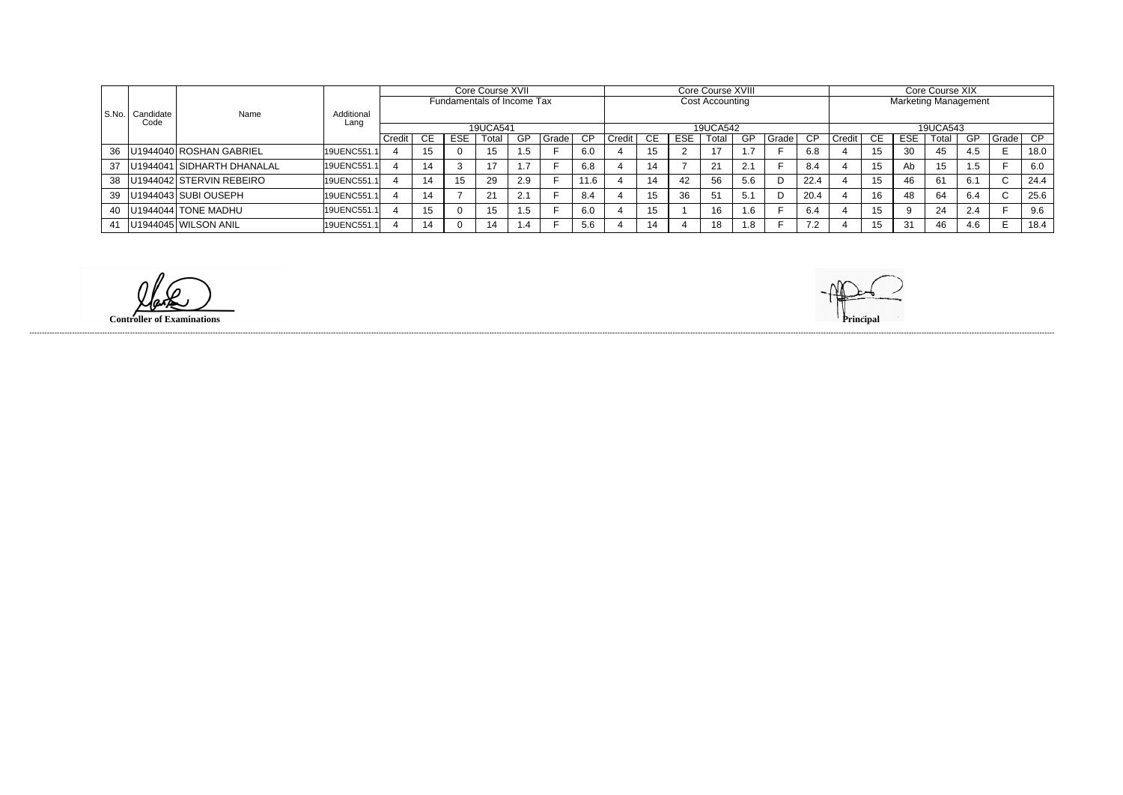|         |           |                                 |                    | Core Course XVII |     |            |                            |           | Core Course XVIII |      |        |           |     |                 |        |                |      |                             |          |            |       |     |              |      |  |
|---------|-----------|---------------------------------|--------------------|------------------|-----|------------|----------------------------|-----------|-------------------|------|--------|-----------|-----|-----------------|--------|----------------|------|-----------------------------|----------|------------|-------|-----|--------------|------|--|
|         |           |                                 |                    |                  |     |            |                            |           |                   |      |        |           |     |                 |        |                |      | Core Course XIX             |          |            |       |     |              |      |  |
|         |           |                                 |                    |                  |     |            | Fundamentals of Income Tax |           |                   |      |        |           |     | Cost Accounting |        |                |      | <b>Marketing Management</b> |          |            |       |     |              |      |  |
|         |           |                                 |                    |                  |     |            |                            |           |                   |      |        |           |     |                 |        |                |      |                             |          |            |       |     |              |      |  |
| l S.No. | Candidate | Name                            | Additional<br>Lanc |                  |     |            |                            |           |                   |      |        |           |     |                 |        |                |      |                             |          |            |       |     |              |      |  |
|         | Code      |                                 |                    |                  |     |            |                            |           |                   |      |        |           |     |                 |        |                |      |                             |          |            |       |     |              |      |  |
|         |           |                                 |                    |                  |     |            | 19UCA541                   |           |                   |      |        |           |     | 19UCA542        |        |                |      |                             | 19UCA543 |            |       |     |              |      |  |
|         |           |                                 |                    | ' Credit         | CE. | <b>ESE</b> | Total                      | <b>GP</b> | Grade I           | CP   | Credit | <b>CE</b> | ESE | Total           | -GP    | <b>Grade</b> I | - CP | Credit                      | CE.      | <b>ESE</b> | Total | GP  | Grade        | CP   |  |
|         |           | 36   U1944040   ROSHAN GABRIEL  | 19UENC551          |                  |     |            | 15                         | c. i      |                   | 6.0  |        | 15        |     |                 |        |                | 6.8  |                             | 15       | 30         | 45    | 4.5 |              | 18.0 |  |
|         |           | 37   U1944041 SIDHARTH DHANALAL | 19UENC551.         |                  | 14  | 3          |                            |           |                   | 6.8  |        | 14        |     | 21              | 2.1    |                | 8.4  |                             | 15       | Ab         | 15    | 1.5 |              | 6.0  |  |
|         |           | 38   U1944042 STERVIN REBEIRO   | 19UENC551.1        |                  | 14  | 15         | 29                         | 2.9       |                   | 11.6 |        | 14        | 42  | 56              | 5.6    | D              | 22.4 |                             | 15       | 46         | 61    | 6.1 | $\sim$<br>U. | 24.4 |  |
|         |           | 39   U1944043 SUBI OUSEPH       | 19UENC551.         |                  | 14  |            | $2^{\prime}$               | 2.1       |                   | 8.4  |        | 15        | 36  | 51              | $-5.1$ | D              | 20.4 |                             | 16       | 48         | 64    | 6.4 | $\sim$<br>◡  | 25.6 |  |
|         |           | 40   U1944044   TONE MADHU      | 19UENC551.1        |                  |     |            |                            | 1.5       |                   | 6.0  |        | 15<br>ιυ  |     | 16              | 1.6    |                | -6.4 |                             |          |            | 24    | 2.4 |              | 9.6  |  |
|         |           | 41   U1944045   WILSON ANIL     | 19UENC551.         |                  | 14  | $\Omega$   | 14                         | 1.4       |                   | 5.6  |        | 14        |     | 18              | 1.8    |                | 72   |                             | 15       | 31         | 46    | 4.6 |              | 18.4 |  |

**Controller of Examinations Principal**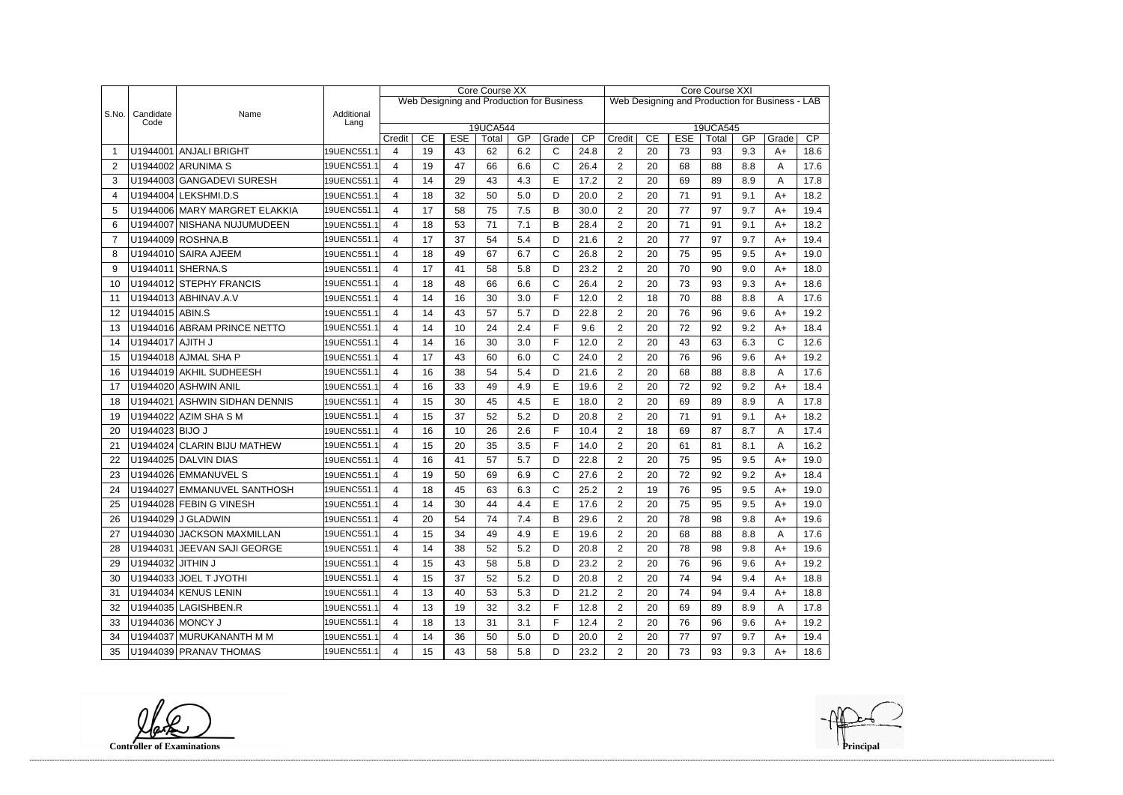|       |                    |                               |                    |             |    |            | <b>Core Course XX</b> |     |                                           | Core Course XXI         |                                                 |            |                   |    |       |      |      |  |
|-------|--------------------|-------------------------------|--------------------|-------------|----|------------|-----------------------|-----|-------------------------------------------|-------------------------|-------------------------------------------------|------------|-------------------|----|-------|------|------|--|
|       |                    |                               |                    |             |    |            |                       |     | Web Designing and Production for Business |                         | Web Designing and Production for Business - LAB |            |                   |    |       |      |      |  |
| S.No. | Candidate<br>Code  | Name                          | Additional<br>Lang |             |    |            |                       |     |                                           |                         |                                                 |            |                   |    |       |      |      |  |
|       |                    |                               |                    |             | CE | <b>ESE</b> | 19UCA544<br>Total     | GP  | Grade                                     | Credit                  | CE                                              | <b>ESE</b> | 19UCA545<br>Total | GP | Grade | CP   |      |  |
|       |                    | U1944001 ANJALI BRIGHT        | 19UENC551.1        | Credit<br>4 | 19 | 43         | 62                    | 6.2 | $\mathsf{C}$                              | $\overline{CP}$<br>24.8 | $\overline{2}$                                  | 20         | 73                | 93 | 9.3   | $A+$ | 18.6 |  |
| 2     |                    | U1944002 ARUNIMA S            | 19UENC551.1        | 4           | 19 | 47         | 66                    | 6.6 | $\mathsf{C}$                              | 26.4                    | $\overline{2}$                                  | 20         | 68                | 88 | 8.8   | A    | 17.6 |  |
| 3     |                    | U1944003 GANGADEVI SURESH     | 19UENC551.1        | 4           | 14 | 29         | 43                    | 4.3 | E                                         | 17.2                    | $\overline{2}$                                  | 20         | 69                | 89 | 8.9   | A    | 17.8 |  |
| 4     |                    | U1944004 LEKSHMI.D.S          | 19UENC551.1        | 4           | 18 | 32         | 50                    | 5.0 | D                                         | 20.0                    | $\overline{2}$                                  | 20         | 71                | 91 | 9.1   | $A+$ | 18.2 |  |
| 5     |                    | U1944006 MARY MARGRET ELAKKIA | 19UENC551.1        | 4           | 17 | 58         | 75                    | 7.5 | B                                         | 30.0                    | $\overline{2}$                                  | 20         | 77                | 97 | 9.7   | $A+$ | 19.4 |  |
| 6     |                    | U1944007 NISHANA NUJUMUDEEN   | 19UENC551.1        | 4           | 18 | 53         | 71                    | 7.1 | B                                         | 28.4                    | $\overline{2}$                                  | 20         | 71                | 91 | 9.1   | $A+$ | 18.2 |  |
| 7     |                    | U1944009 ROSHNA.B             | 19UENC551.1        | 4           | 17 | 37         | 54                    | 5.4 | D                                         | 21.6                    | $\overline{2}$                                  | 20         | 77                | 97 | 9.7   | $A+$ | 19.4 |  |
| 8     |                    | U1944010 SAIRA AJEEM          | 19UENC551.1        | 4           | 18 | 49         | 67                    | 6.7 | $\mathsf{C}$                              | 26.8                    | $\overline{2}$                                  | 20         | 75                | 95 | 9.5   | $A+$ | 19.0 |  |
| 9     |                    | U1944011 SHERNA.S             | 19UENC551.1        | 4           | 17 | 41         | 58                    | 5.8 | D                                         | 23.2                    | $\overline{2}$                                  | 20         | 70                | 90 | 9.0   | $A+$ | 18.0 |  |
| 10    |                    | U1944012 STEPHY FRANCIS       | 19UENC551.1        | 4           | 18 | 48         | 66                    | 6.6 | $\mathsf{C}$                              | 26.4                    | 2                                               | 20         | 73                | 93 | 9.3   | $A+$ | 18.6 |  |
| 11    |                    | U1944013 ABHINAV.A.V          | 19UENC551.1        | 4           | 14 | 16         | 30                    | 3.0 | F                                         | 12.0                    | $\overline{2}$                                  | 18         | 70                | 88 | 8.8   | A    | 17.6 |  |
| 12    | U1944015 ABIN.S    |                               | 19UENC551.1        | 4           | 14 | 43         | 57                    | 5.7 | D                                         | 22.8                    | $\overline{2}$                                  | 20         | 76                | 96 | 9.6   | $A+$ | 19.2 |  |
| 13    |                    | U1944016 ABRAM PRINCE NETTO   | 19UENC551.1        | 4           | 14 | 10         | 24                    | 2.4 | F                                         | 9.6                     | $\overline{2}$                                  | 20         | 72                | 92 | 9.2   | $A+$ | 18.4 |  |
| 14    | U1944017 AJITH J   |                               | 19UENC551.1        | 4           | 14 | 16         | 30                    | 3.0 | F                                         | 12.0                    | $\overline{2}$                                  | 20         | 43                | 63 | 6.3   | C    | 12.6 |  |
| 15    |                    | U1944018 AJMAL SHA P          | 19UENC551.1        | 4           | 17 | 43         | 60                    | 6.0 | $\mathsf{C}$                              | 24.0                    | $\overline{2}$                                  | 20         | 76                | 96 | 9.6   | $A+$ | 19.2 |  |
| 16    |                    | U1944019 AKHIL SUDHEESH       | 19UENC551.1        | 4           | 16 | 38         | 54                    | 5.4 | D                                         | 21.6                    | $\overline{2}$                                  | 20         | 68                | 88 | 8.8   | Α    | 17.6 |  |
| 17    |                    | U1944020 ASHWIN ANIL          | 19UENC551.1        | 4           | 16 | 33         | 49                    | 4.9 | Е                                         | 19.6                    | $\overline{2}$                                  | 20         | 72                | 92 | 9.2   | $A+$ | 18.4 |  |
| 18    |                    | U1944021 ASHWIN SIDHAN DENNIS | 19UENC551.1        | 4           | 15 | 30         | 45                    | 4.5 | E                                         | 18.0                    | $\overline{2}$                                  | 20         | 69                | 89 | 8.9   | A    | 17.8 |  |
| 19    |                    | U1944022 AZIM SHA S M         | 19UENC551.1        | 4           | 15 | 37         | 52                    | 5.2 | D                                         | 20.8                    | $\overline{2}$                                  | 20         | 71                | 91 | 9.1   | $A+$ | 18.2 |  |
| 20    | U1944023 BIJO J    |                               | 19UENC551.1        | 4           | 16 | 10         | 26                    | 2.6 | F                                         | 10.4                    | 2                                               | 18         | 69                | 87 | 8.7   | A    | 17.4 |  |
| 21    |                    | U1944024 CLARIN BIJU MATHEW   | 19UENC551.1        | 4           | 15 | 20         | 35                    | 3.5 | F                                         | 14.0                    | $\overline{2}$                                  | 20         | 61                | 81 | 8.1   | A    | 16.2 |  |
| 22    |                    | U1944025 DALVIN DIAS          | 19UENC551.1        | 4           | 16 | 41         | 57                    | 5.7 | D                                         | 22.8                    | $\overline{2}$                                  | 20         | 75                | 95 | 9.5   | $A+$ | 19.0 |  |
| 23    |                    | U1944026 EMMANUVEL S          | 19UENC551.1        | 4           | 19 | 50         | 69                    | 6.9 | C                                         | 27.6                    | $\overline{2}$                                  | 20         | 72                | 92 | 9.2   | $A+$ | 18.4 |  |
| 24    |                    | U1944027 EMMANUVEL SANTHOSH   | 19UENC551.1        | 4           | 18 | 45         | 63                    | 6.3 | $\mathsf{C}$                              | 25.2                    | $\overline{2}$                                  | 19         | 76                | 95 | 9.5   | A+   | 19.0 |  |
| 25    |                    | U1944028 FEBIN G VINESH       | 19UENC551.1        | 4           | 14 | $30\,$     | 44                    | 4.4 | E                                         | 17.6                    | $\overline{c}$                                  | 20         | 75                | 95 | 9.5   | A+   | 19.0 |  |
| 26    |                    | U1944029 J GLADWIN            | 19UENC551.1        | 4           | 20 | 54         | 74                    | 7.4 | В                                         | 29.6                    | $\overline{2}$                                  | 20         | 78                | 98 | 9.8   | A+   | 19.6 |  |
| 27    |                    | U1944030 JACKSON MAXMILLAN    | 19UENC551.1        | 4           | 15 | 34         | 49                    | 4.9 | Е                                         | 19.6                    | $\overline{2}$                                  | 20         | 68                | 88 | 8.8   | A    | 17.6 |  |
| 28    |                    | U1944031 JEEVAN SAJI GEORGE   | 19UENC551.1        | 4           | 14 | 38         | 52                    | 5.2 | D                                         | 20.8                    | $\overline{c}$                                  | 20         | 78                | 98 | 9.8   | A+   | 19.6 |  |
| 29    | U1944032 JITHIN J  |                               | 19UENC551.1        | 4           | 15 | 43         | 58                    | 5.8 | D                                         | 23.2                    | $\overline{2}$                                  | 20         | 76                | 96 | 9.6   | A+   | 19.2 |  |
| 30    |                    | U1944033 JOEL T JYOTHI        | 19UENC551.1        | 4           | 15 | 37         | 52                    | 5.2 | D                                         | 20.8                    | $\overline{2}$                                  | 20         | 74                | 94 | 9.4   | A+   | 18.8 |  |
| 31    |                    | U1944034 KENUS LENIN          | 19UENC551.1        | 4           | 13 | 40         | 53                    | 5.3 | D                                         | 21.2                    | $\overline{c}$                                  | 20         | 74                | 94 | 9.4   | A+   | 18.8 |  |
| 32    |                    | U1944035 LAGISHBEN.R          | 19UENC551.1        | 4           | 13 | 19         | 32                    | 3.2 | F                                         | 12.8                    | $\overline{c}$                                  | 20         | 69                | 89 | 8.9   | A    | 17.8 |  |
| 33    | U1944036   MONCY J |                               | 19UENC551.1        | 4           | 18 | 13         | 31                    | 3.1 | F                                         | 12.4                    | $\overline{c}$                                  | 20         | 76                | 96 | 9.6   | A+   | 19.2 |  |
| 34    |                    | U1944037 MURUKANANTH M M      | 19UENC551.1        | 4           | 14 | 36         | 50                    | 5.0 | D                                         | 20.0                    | $\overline{c}$                                  | 20         | 77                | 97 | 9.7   | A+   | 19.4 |  |
| 35    |                    | U1944039 PRANAV THOMAS        | 19UENC551.1        | 4           | 15 | 43         | 58                    | 5.8 | D                                         | 23.2                    | $\overline{a}$                                  | 20         | 73                | 93 | 9.3   | A+   | 18.6 |  |

**Controller of Examinations**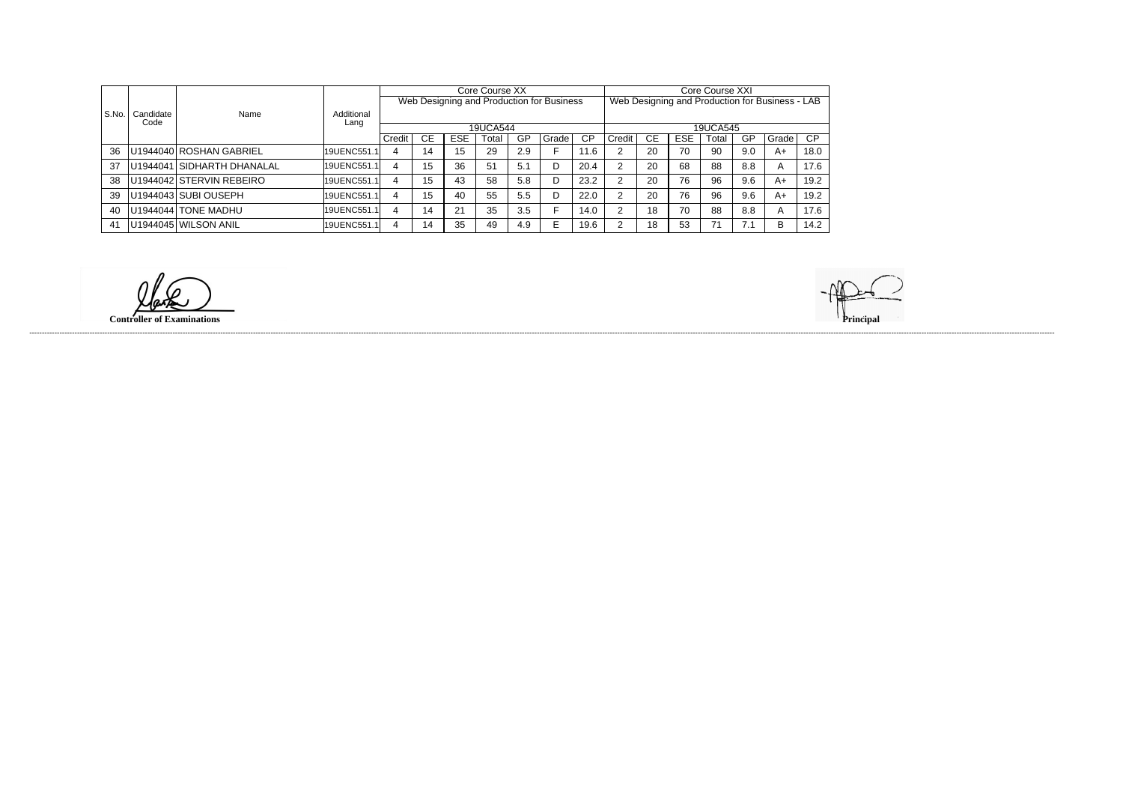|       |           | Name                       |               |        |           |            | Core Course XX |     |                                           |      | Core Course XXI                                 |    |            |       |     |         |           |  |
|-------|-----------|----------------------------|---------------|--------|-----------|------------|----------------|-----|-------------------------------------------|------|-------------------------------------------------|----|------------|-------|-----|---------|-----------|--|
|       |           |                            |               |        |           |            |                |     | Web Designing and Production for Business |      | Web Designing and Production for Business - LAB |    |            |       |     |         |           |  |
| S.No. | Candidate |                            | Additional    |        |           |            |                |     |                                           |      |                                                 |    |            |       |     |         |           |  |
|       | Code      |                            | Lang          |        |           |            | 19UCA544       |     |                                           |      | 19UCA545                                        |    |            |       |     |         |           |  |
|       |           |                            |               | Credit | <b>CE</b> | <b>ESE</b> | Total          | GP  | Grade                                     | СP   | Credit                                          | СE | <b>ESE</b> | Гоtal | GP  | l Grade | <b>CP</b> |  |
| 36    |           | U1944040 ROSHAN GABRIEL    | l19UENC551.1l | 4      | 14        | 15         | 29             | 2.9 |                                           | 11.6 |                                                 | 20 | 70         | 90    | 9.0 | A+      | 18.0      |  |
| 37    |           | U1944041 SIDHARTH DHANALAL | 19UENC551.1   | 4      | 15        | 36         | 51             | 5.1 | D                                         | 20.4 |                                                 | 20 | 68         | 88    | 8.8 | A       | 17.6      |  |
| 38    |           | U1944042 STERVIN REBEIRO   | 19UENC551.1   | 4      | 15        | 43         | 58             | 5.8 |                                           | 23.2 |                                                 | 20 | 76         | 96    | 9.6 | A+      | 19.2      |  |
| 39    |           | U1944043 SUBI OUSEPH       | 19UENC551.1   | 4      | 15        | 40         | 55             | 5.5 |                                           | 22.0 |                                                 | 20 | 76         | 96    | 9.6 | A+      | 19.2      |  |
| 40    |           | U1944044 TONE MADHU        | 19UENC551.1   | 4      | 14        | 21         | 35             | 3.5 |                                           | 14.0 |                                                 | 18 | 70         | 88    | 8.8 | A       | 17.6      |  |
| 41    |           | U1944045 WILSON ANIL       | 19UENC551.1   | 4      | 14        | 35         | 49             | 4.9 |                                           | 19.6 |                                                 | 18 | 53         | 71    | 7.1 | B       | 14.2      |  |

**Controller of Examinations Principal**

------------------------------------------------------------------------------------------------------------------------------------------------------------------------------------------------------------------------------------------------------------------------------------------------------------------------------------------------------------------------------------------------------------------------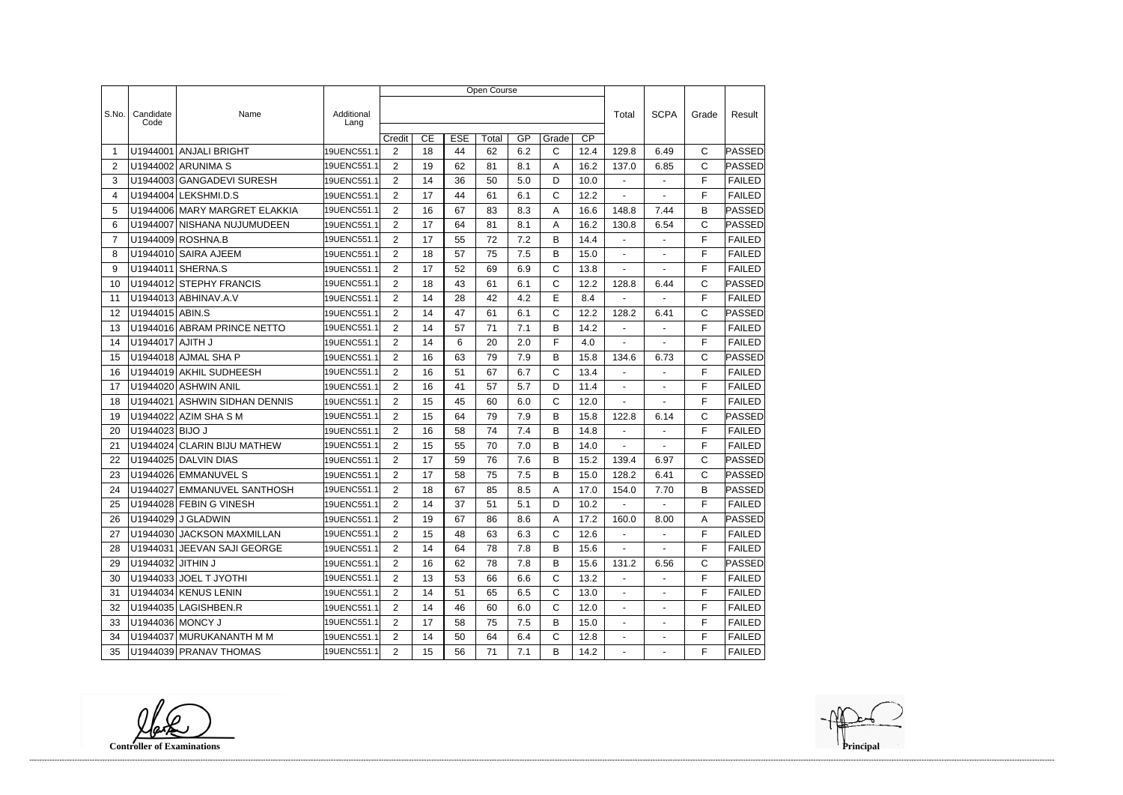|       |                    |                               |                    | Open Course    |    |            |       |     |              |                 |                          |                          |              |               |
|-------|--------------------|-------------------------------|--------------------|----------------|----|------------|-------|-----|--------------|-----------------|--------------------------|--------------------------|--------------|---------------|
|       |                    |                               |                    |                |    |            |       |     |              |                 |                          |                          |              |               |
| S.No. | Candidate<br>Code  | Name                          | Additional<br>Lang |                |    |            |       |     |              |                 | Total                    | <b>SCPA</b>              | Grade        | Result        |
|       |                    |                               |                    | Credit         | CE | <b>ESE</b> | Total | GP  | Grade        | $\overline{CP}$ |                          |                          |              |               |
| -1    | U1944001           | <b>ANJALI BRIGHT</b>          | 19UENC551.1        | 2              | 18 | 44         | 62    | 6.2 | C            | 12.4            | 129.8                    | 6.49                     | C            | PASSED        |
| 2     |                    | U1944002 ARUNIMA S            | 19UENC551.1        | $\overline{2}$ | 19 | 62         | 81    | 8.1 | A            | 16.2            | 137.0                    | 6.85                     | $\mathsf{C}$ | <b>PASSED</b> |
| 3     |                    | U1944003 GANGADEVI SURESH     | 19UENC551.1        | 2              | 14 | 36         | 50    | 5.0 | D            | 10.0            | $\overline{\phantom{a}}$ | $\blacksquare$           | F            | <b>FAILED</b> |
| 4     |                    | U1944004 LEKSHMI.D.S          | 19UENC551.1        | $\overline{2}$ | 17 | 44         | 61    | 6.1 | C            | 12.2            |                          |                          | F            | <b>FAILED</b> |
| 5     |                    | U1944006 MARY MARGRET ELAKKIA | 19UENC551.1        | $\overline{2}$ | 16 | 67         | 83    | 8.3 | Α            | 16.6            | 148.8                    | 7.44                     | B            | PASSED        |
| 6     | U1944007           | NISHANA NUJUMUDEEN            | 19UENC551.1        | 2              | 17 | 64         | 81    | 8.1 | A            | 16.2            | 130.8                    | 6.54                     | C            | PASSED        |
| 7     |                    | U1944009 ROSHNA.B             | 19UENC551.1        | $\overline{2}$ | 17 | 55         | 72    | 7.2 | B            | 14.4            | $\blacksquare$           | $\sim$                   | F            | <b>FAILED</b> |
| 8     |                    | U1944010 SAIRA AJEEM          | 19UENC551.1        | 2              | 18 | 57         | 75    | 7.5 | Β            | 15.0            | $\blacksquare$           | $\blacksquare$           | F            | <b>FAILED</b> |
| 9     |                    | U1944011 SHERNA.S             | 19UENC551.1        | $\overline{2}$ | 17 | 52         | 69    | 6.9 | C            | 13.8            |                          |                          | F            | <b>FAILED</b> |
| 10    |                    | U1944012 STEPHY FRANCIS       | 19UENC551.1        | 2              | 18 | 43         | 61    | 6.1 | C            | 12.2            | 128.8                    | 6.44                     | $\mathsf{C}$ | PASSED        |
| 11    |                    | U1944013 ABHINAV.A.V          | 19UENC551.1        | $\overline{2}$ | 14 | 28         | 42    | 4.2 | E            | 8.4             |                          |                          | F            | <b>FAILED</b> |
| 12    | U1944015 ABIN.S    |                               | 19UENC551.1        | $\overline{2}$ | 14 | 47         | 61    | 6.1 | C            | 12.2            | 128.2                    | 6.41                     | $\mathsf{C}$ | <b>PASSED</b> |
| 13    |                    | U1944016 ABRAM PRINCE NETTO   | 19UENC551.1        | 2              | 14 | 57         | 71    | 7.1 | В            | 14.2            | $\blacksquare$           | $\blacksquare$           | F            | <b>FAILED</b> |
| 14    | U1944017 AJITH J   |                               | 19UENC551.1        | $\overline{2}$ | 14 | 6          | 20    | 2.0 | F            | 4.0             |                          |                          | F            | <b>FAILED</b> |
| 15    |                    | U1944018 AJMAL SHA P          | 19UENC551.1        | 2              | 16 | 63         | 79    | 7.9 | B            | 15.8            | 134.6                    | 6.73                     | C            | PASSED        |
| 16    |                    | U1944019 AKHIL SUDHEESH       | 19UENC551.1        | $\overline{2}$ | 16 | 51         | 67    | 6.7 | C            | 13.4            |                          |                          | F            | <b>FAILED</b> |
| 17    |                    | U1944020 ASHWIN ANIL          | 19UENC551.1        | $\overline{2}$ | 16 | 41         | 57    | 5.7 | D            | 11.4            |                          |                          | F            | <b>FAILED</b> |
| 18    | U1944021           | <b>ASHWIN SIDHAN DENNIS</b>   | 19UENC551.1        | 2              | 15 | 45         | 60    | 6.0 | C            | 12.0            | $\blacksquare$           | ÷,                       | F            | <b>FAILED</b> |
| 19    |                    | U1944022 AZIM SHA S M         | 19UENC551.1        | 2              | 15 | 64         | 79    | 7.9 | B            | 15.8            | 122.8                    | 6.14                     | $\mathsf{C}$ | PASSED        |
| 20    | U1944023 BIJO J    |                               | 19UENC551.1        | $\overline{2}$ | 16 | 58         | 74    | 7.4 | B            | 14.8            | $\blacksquare$           | $\blacksquare$           | F            | <b>FAILED</b> |
| 21    | U1944024           | <b>CLARIN BIJU MATHEW</b>     | 19UENC551.1        | $\overline{2}$ | 15 | 55         | 70    | 7.0 | B            | 14.0            |                          |                          | F            | <b>FAILED</b> |
| 22    |                    | U1944025 DALVIN DIAS          | 19UENC551.1        | $\overline{2}$ | 17 | 59         | 76    | 7.6 | B            | 15.2            | 139.4                    | 6.97                     | $\mathsf{C}$ | PASSED        |
| 23    |                    | U1944026 EMMANUVEL S          | 19UENC551.1        | 2              | 17 | 58         | 75    | 7.5 | B            | 15.0            | 128.2                    | 6.41                     | $\mathsf{C}$ | PASSED        |
| 24    | U1944027           | EMMANUVEL SANTHOSH            | 19UENC551.1        | $\overline{2}$ | 18 | 67         | 85    | 8.5 | Α            | 17.0            | 154.0                    | 7.70                     | B            | PASSED        |
| 25    |                    | U1944028 FEBIN G VINESH       | 19UENC551.1        | 2              | 14 | 37         | 51    | 5.1 | D            | 10.2            |                          |                          | F            | FAILED        |
| 26    |                    | U1944029 J GLADWIN            | 19UENC551.1        | $\overline{2}$ | 19 | 67         | 86    | 8.6 | A            | 17.2            | 160.0                    | 8.00                     | Α            | PASSED        |
| 27    |                    | U1944030 JACKSON MAXMILLAN    | 19UENC551.1        | $\overline{2}$ | 15 | 48         | 63    | 6.3 | $\mathsf{C}$ | 12.6            | $\sim$                   | $\blacksquare$           | F            | <b>FAILED</b> |
| 28    |                    | U1944031   JEEVAN SAJI GEORGE | 19UENC551.1        | $\overline{2}$ | 14 | 64         | 78    | 7.8 | B            | 15.6            | $\sim$                   | $\blacksquare$           | F            | <b>FAILED</b> |
| 29    | U1944032 JITHIN J  |                               | 19UENC551.1        | $\overline{2}$ | 16 | 62         | 78    | 7.8 | B            | 15.6            | 131.2                    | 6.56                     | $\mathsf{C}$ | PASSED        |
| 30    |                    | U1944033 JOEL T JYOTHI        | 19UENC551.1        | $\overline{2}$ | 13 | 53         | 66    | 6.6 | $\mathsf{C}$ | 13.2            | $\sim$                   | $\blacksquare$           | F            | <b>FAILED</b> |
| 31    |                    | U1944034 KENUS LENIN          | 19UENC551.1        | $\overline{2}$ | 14 | 51         | 65    | 6.5 | С            | 13.0            | $\sim$                   |                          | F            | <b>FAILED</b> |
| 32    |                    | U1944035 LAGISHBEN.R          | 19UENC551.1        | $\overline{2}$ | 14 | 46         | 60    | 6.0 | $\mathsf{C}$ | 12.0            | $\sim$                   | $\blacksquare$           | F            | <b>FAILED</b> |
| 33    | U1944036   MONCY J |                               | 19UENC551.1        | $\overline{2}$ | 17 | 58         | 75    | 7.5 | B            | 15.0            | $\sim 10$                | $\blacksquare$           | F            | <b>FAILED</b> |
| 34    |                    | U1944037 MURUKANANTH M M      | 19UENC551.1        | $\overline{2}$ | 14 | 50         | 64    | 6.4 | C            | 12.8            | $\sim$                   | $\overline{\phantom{a}}$ | F            | <b>FAILED</b> |
| 35    |                    | U1944039 PRANAV THOMAS        | 19UENC551.1        | $\overline{2}$ | 15 | 56         | 71    | 7.1 | B            | 14.2            | $\sim$                   | $\blacksquare$           | F            | FAILED        |

**Controller of Examinations**